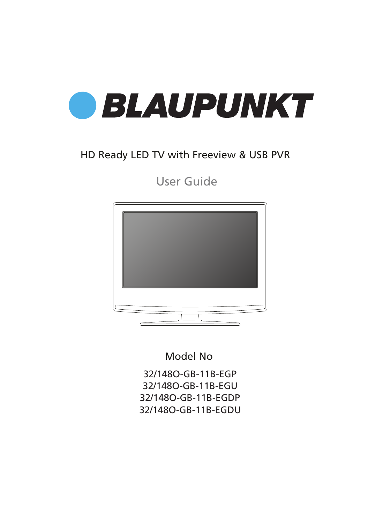

### HD Ready LED TV with Freeview & USB PVR

User Guide



Model No

32/148O-GB-11B-EGP 32/148O-GB-11B-EGU 32/148O-GB-11B-EGDP 32/148O-GB-11B-EGDU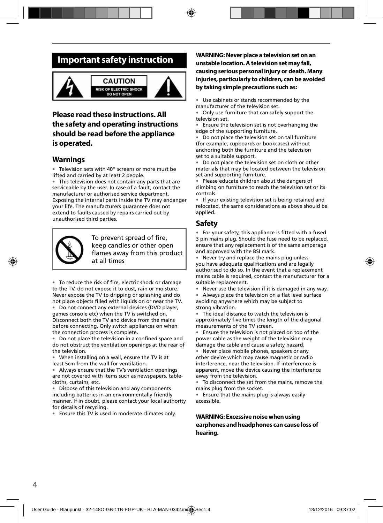### **Important safety instruction**



### **Please read these instructions. All the safety and operating instructions should be read before the appliance is operated.**

#### **Warnings**

Television sets with 40" screens or more must be lifted and carried by at least 2 people.

This television does not contain any parts that are serviceable by the user. In case of a fault, contact the manufacturer or authorised service department. Exposing the internal parts inside the TV may endanger your life. The manufacturers guarantee does not extend to faults caused by repairs carried out by unauthorised third parties.



To prevent spread of fire, keep candles or other open flames away from this product at all times

• To reduce the risk of fire, electric shock or damage to the TV, do not expose it to dust, rain or moisture. Never expose the TV to dripping or splashing and do not place objects filled with liquids on or near the TV.

Do not connect any external devices (DVD player, games console etc) when the TV is switched on. Disconnect both the TV and device from the mains before connecting. Only switch appliances on when the connection process is complete.

• Do not place the television in a confined space and do not obstruct the ventilation openings at the rear of the television.

• When installing on a wall, ensure the TV is at least 5cm from the wall for ventilation.

• Always ensure that the TV's ventilation openings are not covered with items such as newspapers, tablecloths, curtains, etc.

Dispose of this television and any components including batteries in an environmentally friendly manner. If in doubt, please contact your local authority for details of recycling.

• Ensure this TV is used in moderate climates only.

#### **WARNING: Never place a television set on an unstable location. A television set may fall, causing serious personal injury or death. Many injuries, particularly to children, can be avoided by taking simple precautions such as:**

• Use cabinets or stands recommended by the manufacturer of the television set.

• Only use furniture that can safely support the television set.

• Ensure the television set is not overhanging the edge of the supporting furniture.

• Do not place the television set on tall furniture (for example, cupboards or bookcases) without anchoring both the furniture and the television set to a suitable support.

• Do not place the television set on cloth or other materials that may be located between the television set and supporting furniture.

• Please educate children about the dangers of climbing on furniture to reach the television set or its controls.

• If your existing television set is being retained and relocated, the same considerations as above should be applied.

#### **Safety**

• For your safety, this appliance is fitted with a fused 3 pin mains plug. Should the fuse need to be replaced, ensure that any replacement is of the same amperage and approved with the BSI mark.

• Never try and replace the mains plug unless you have adequate qualifications and are legally authorised to do so. In the event that a replacement mains cable is required, contact the manufacturer for a suitable replacement.

Never use the television if it is damaged in any way.

Always place the television on a flat level surface avoiding anywhere which may be subject to strong vibration.

The ideal distance to watch the television is approximately five times the length of the diagonal measurements of the TV screen.

• Ensure the television is not placed on top of the power cable as the weight of the television may damage the cable and cause a safety hazard.

• Never place mobile phones, speakers or any other device which may cause magnetic or radio interference, near the television. If interference is apparent, move the device causing the interference away from the television.

• To disconnect the set from the mains, remove the mains plug from the socket.

• Ensure that the mains plug is always easily accessible.

**WARNING: Excessive noise when using earphones and headphones can cause loss of hearing.**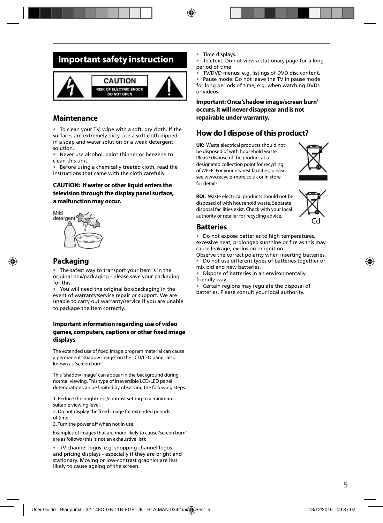### **Important safety instruction**



#### **Maintenance**

• To clean your TV, wipe with a soft, dry cloth. If the surfaces are extremely dirty, use a soft cloth dipped in a soap and water solution or a weak detergent solution.

• Never use alcohol, paint thinner or benzene to clean this unit.

• Before using a chemically treated cloth, read the instructions that came with the cloth carefully.

#### **CAUTION: If water or other liquid enters the television through the display panel surface, a malfunction may occur.**



#### **Packaging**

The safest way to transport your item is in the original box/packaging - please save your packaging for this.

• You will need the original box/packaging in the event of warranty/service repair or support. We are unable to carry out warranty/service if you are unable to package the item correctly.

#### **Important information regarding use of video games, computers, captions or other fi xed image displays**

The extended use of fixed image program material can cause a permanent "shadow image" on the LCD/LED panel, also known as "screen burn".

This "shadow image" can appear in the background during normal viewing. This type of irreversible LCD/LED panel deterioration can be limited by observing the following steps:

1. Reduce the brightness/contrast setting to a minimum suitable viewing level.

2. Do not display the fixed image for extended periods of time.

3. Turn the power off when not in use.

Examples of images that are more likely to cause "screen burn" are as follows (this is not an exhaustive list):

• TV channel logos: e.g. shopping channel logos and pricing displays - especially if they are bright and stationary. Moving or low-contrast graphics are less likely to cause ageing of the screen.

- Time displays.
- Teletext: Do not view a stationary page for a long period of time
- TV/DVD menus: e.g. listings of DVD disc content.

• Pause mode: Do not leave the TV in pause mode for long periods of time, e.g. when watching DVDs or videos.

**Important: Once 'shadow image/screen burn' occurs, it will never disappear and is not repairable under warranty.**

#### **How do I dispose of this product?**

**UK:** Waste electrical products should not be disposed of with household waste. Please dispose of the product at a designated collection point for recycling of WEEE. For your nearest facilities, please see www.recycle-more.co.uk or in store for details.



**ROI:** Waste electrical products should not be disposed of with household waste. Separate disposal facilities exist. Check with your local authority or retailer for recycling advice.



#### **Batteries**

• Do not expose batteries to high temperatures, excessive heat, prolonged sunshine or fire as this may cause leakage, explosion or ignition.

Observe the correct polarity when inserting batteries. • Do not use different types of batteries together or mix old and new batteries.

• Dispose of batteries in an environmentally friendly way.

• Certain regions may regulate the disposal of batteries. Please consult your local authority.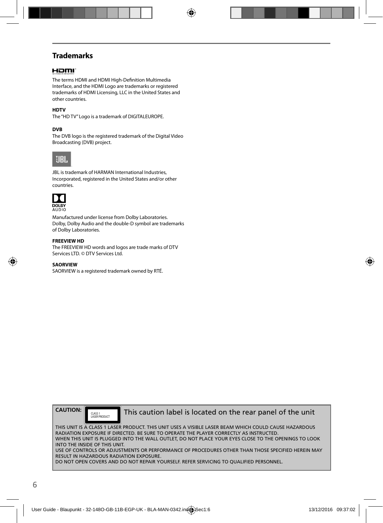### **Trademarks**

#### HOMI

The terms HDMI and HDMI High-Definition Multimedia Interface, and the HDMI Logo are trademarks or registered trademarks of HDMI Licensing, LLC in the United States and other countries.

#### **HDTV**

The "HD TV" Logo is a trademark of DIGITALEUROPE.

#### **DVB**

The DVB logo is the registered trademark of the Digital Video Broadcasting (DVB) project.



JBL is trademark of HARMAN International Industries, Incorporated, registered in the United States and/or other countries.



Manufactured under license from Dolby Laboratories. Dolby, Dolby Audio and the double-D symbol are trademarks of Dolby Laboratories.

#### **FREEVIEW HD**

The FREEVIEW HD words and logos are trade marks of DTV Services LTD. © DTV Services Ltd.

#### **SAORVIEW**

SAORVIEW is a registered trademark owned by RTÉ.



CLASS 1<br>LASER PRODUCT

This caution label is located on the rear panel of the unit

THIS UNIT IS A CLASS 1 LASER PRODUCT. THIS UNIT USES A VISIBLE LASER BEAM WHICH COULD CAUSE HAZARDOUS RADIATION EXPOSURE IF DIRECTED. BE SURE TO OPERATE THE PLAYER CORRECTLY AS INSTRUCTED. WHEN THIS UNIT IS PLUGGED INTO THE WALL OUTLET, DO NOT PLACE YOUR EYES CLOSE TO THE OPENINGS TO LOOK INTO THE INSIDE OF THIS UNIT. USE OF CONTROLS OR ADJUSTMENTS OR PERFORMANCE OF PROCEDURES OTHER THAN THOSE SPECIFIED HEREIN MAY RESULT IN HAZARDOUS RADIATION EXPOSURE.

DO NOT OPEN COVERS AND DO NOT REPAIR YOURSELF. REFER SERVICING TO QUALIFIED PERSONNEL.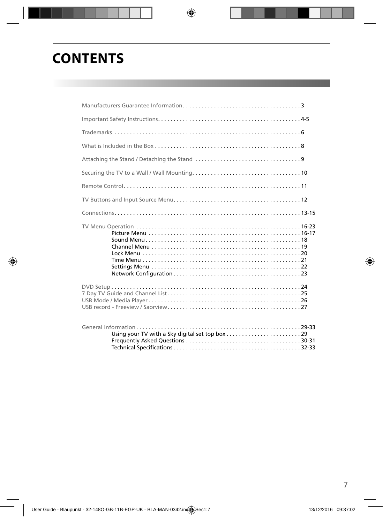# **CONTENTS**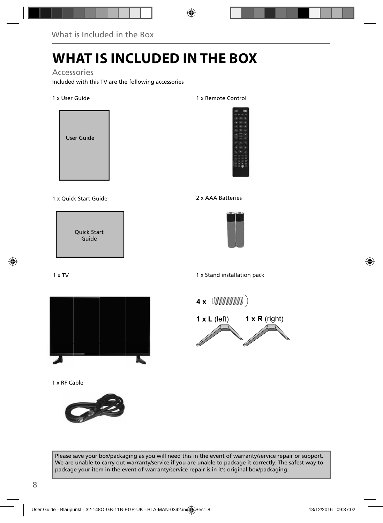# **WHAT IS INCLUDED IN THE BOX**

#### Accessories

Included with this TV are the following accessories

#### 1 x User Guide



#### 1 x Quick Start Guide 2 x AAA Batteries

Quick Start Guide

#### 1 x TV



1 x RF Cable



#### 1 x Remote Control





1 x Stand installation pack



Please save your box/packaging as you will need this in the event of warranty/service repair or support. We are unable to carry out warranty/service if you are unable to package it correctly. The safest way to package your item in the event of warranty/service repair is in it's original box/packaging.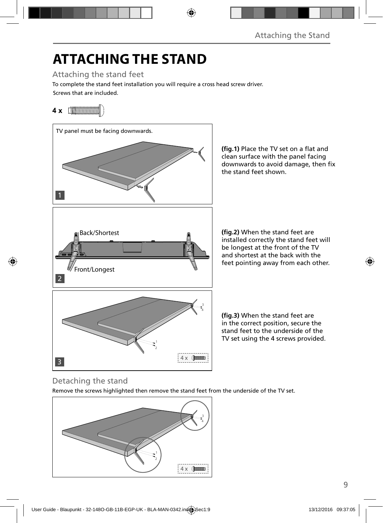# **ATTACHING THE STAND**

Attaching the stand feet

Screws that are included. To complete the stand feet installation you will require a cross head screw driver.

### **4 x** [*MMMMMMM*



(fig.1) Place the TV set on a flat and clean surface with the panel facing downwards to avoid damage, then fix the stand feet shown.

**(fig.2)** When the stand feet are installed correctly the stand feet will be longest at the front of the TV and shortest at the back with the feet pointing away from each other.

(fig.3) When the stand feet are in the correct position, secure the stand feet to the underside of the TV set using the 4 screws provided.

### Detaching the stand

Remove the screws highlighted then remove the stand feet from the underside of the TV set.

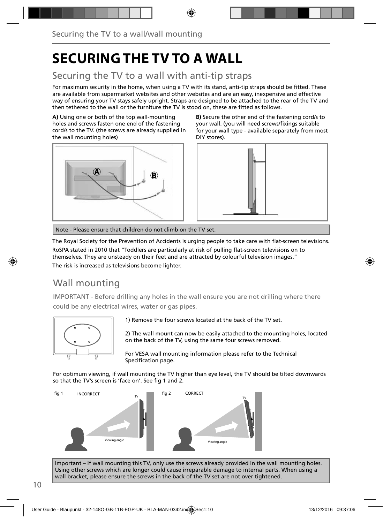# **SECURING THE TV TO A WALL**

### Securing the TV to a wall with anti-tip straps

For maximum security in the home, when using a TV with its stand, anti-tip straps should be fitted. These are available from supermarket websites and other websites and are an easy, inexpensive and effective way of ensuring your TV stays safely upright. Straps are designed to be attached to the rear of the TV and then tethered to the wall or the furniture the TV is stood on, these are fitted as follows.

**A)** Using one or both of the top wall-mounting holes and screws fasten one end of the fastening cord/s to the TV. (the screws are already supplied in the wall mounting holes)



**B)** Secure the other end of the fastening cord/s to your wall. (you will need screws/fixings suitable for your wall type - available separately from most DIY stores).



Note - Please ensure that children do not climb on the TV set.

The Royal Society for the Prevention of Accidents is urging people to take care with flat-screen televisions. RoSPA stated in 2010 that "Toddlers are particularly at risk of pulling flat-screen televisions on to themselves. They are unsteady on their feet and are attracted by colourful television images." The risk is increased as televisions become lighter.

### Wall mounting

IMPORTANT - Before drilling any holes in the wall ensure you are not drilling where there could be any electrical wires, water or gas pipes.



1) Remove the four screws located at the back of the TV set.

2) The wall mount can now be easily attached to the mounting holes, located on the back of the TV, using the same four screws removed.

For VESA wall mounting information please refer to the Technical Specification page.

For optimum viewing, if wall mounting the TV higher than eye level, the TV should be tilted downwards so that the TV's screen is 'face on'. See fig 1 and 2.



Important – If wall mounting this TV, only use the screws already provided in the wall mounting holes. Using other screws which are longer could cause irreparable damage to internal parts. When using a wall bracket, please ensure the screws in the back of the TV set are not over tightened.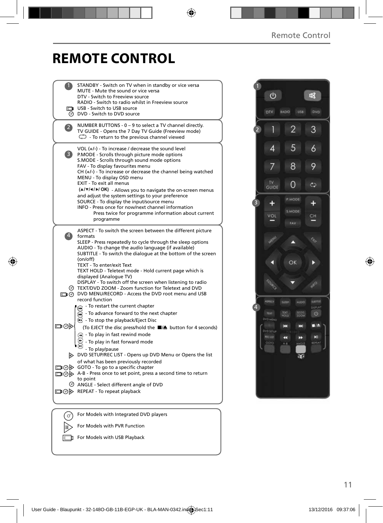咽

## **REMOTE CONTROL**

|                | STANDBY - Switch on TV when in standby or vice versa<br>MUTE - Mute the sound or vice versa<br>DTV - Switch to Freeview source<br>RADIO - Switch to radio whilst in Freeview source<br>USB - Switch to USB source<br>O DVD - Switch to DVD source                                                                                                                                                                                                                                                                                                                                                                        |  |
|----------------|--------------------------------------------------------------------------------------------------------------------------------------------------------------------------------------------------------------------------------------------------------------------------------------------------------------------------------------------------------------------------------------------------------------------------------------------------------------------------------------------------------------------------------------------------------------------------------------------------------------------------|--|
| $\overline{2}$ | NUMBER BUTTONS - 0 - 9 to select a TV channel directly.<br>TV GUIDE - Opens the 7 Day TV Guide (Freeview mode)<br>$\mathbb{C}$ To return to the previous channel viewed                                                                                                                                                                                                                                                                                                                                                                                                                                                  |  |
| 3)             | VOL $(+/-)$ - To increase / decrease the sound level<br>P.MODE - Scrolls through picture mode options<br>S.MODE - Scrolls through sound mode options<br>FAV - To display favourites menu<br>$CH (+/-)$ - To increase or decrease the channel being watched<br>MENU - To display OSD menu<br>EXIT - To exit all menus<br>(A/V/4/D/OK) - Allows you to navigate the on-screen menus<br>and adjust the system settings to your preference<br>SOURCE - To display the input/source menu<br>INFO - Press once for now/next channel information<br>Press twice for programme information about current<br>programme            |  |
| $\overline{A}$ | ASPECT - To switch the screen between the different picture<br>formats<br>SLEEP - Press repeatedly to cycle through the sleep options<br>AUDIO - To change the audio language (if available)<br>SUBTITLE - To switch the dialogue at the bottom of the screen<br>(on/off)<br>TEXT - To enter/exit Text<br>TEXT HOLD - Teletext mode - Hold current page which is<br>displayed (Analoque TV)<br>DISPLAY - To switch off the screen when listening to radio<br>TEXT/DVD ZOOM - Zoom function for Teletext and DVD<br>DVD MENU/RECORD - Access the DVD root menu and USB<br>record function                                 |  |
| య⊚⊡            | - To restart the current chapter<br>ଳେ<br>- To advance forward to the next chapter<br>⋒<br>◯ - To stop the playback/Eject Disc<br>(To EJECT the disc press/hold the ■▲ button for 4 seconds)<br>$\left( \mathbf{A} \right)$ - To play in fast rewind mode<br>- To play in fast forward mode<br>- To play/pause<br>DVD SETUP/REC LIST - Opens up DVD Menu or Opens the list<br>of what has been previously recorded<br>□ ⊙ > GOTO - To go to a specific chapter<br>A-B - Press once to set point, press a second time to return<br>to point<br>ANGLE - Select different angle of DVD<br>□ ⊙ > REPEAT - To repeat playback |  |
| 0              | For Models with Integrated DVD players                                                                                                                                                                                                                                                                                                                                                                                                                                                                                                                                                                                   |  |
|                | For Models with PVR Function                                                                                                                                                                                                                                                                                                                                                                                                                                                                                                                                                                                             |  |

For Models with USB Playback



2

 $\cup$ 

DIV

 $\overline{3}$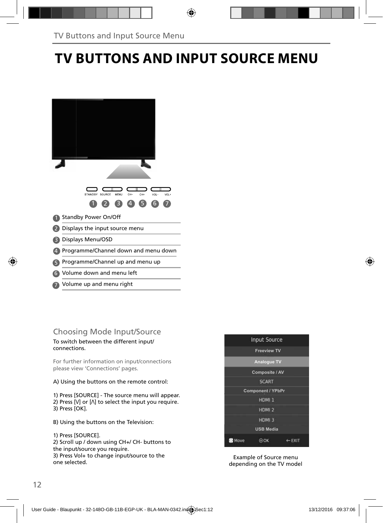# **TV BUTTONS AND INPUT SOURCE MENU**

Volume up and menu right 7

### Choosing Mode Input/Source

To switch between the different input/ connections.

For further information on input/connections please view 'Connections' pages.

A) Using the buttons on the remote control:

1) Press [SOURCE] - The source menu will appear. 2) Press [V] or [ $\Lambda$ ] to select the input you require. 3) Press [OK].

B) Using the buttons on the Television:

1) Press [SOURCE].

2) Scroll up / down using CH+/ CH- buttons to the input/source you require. 3) Press Vol+ to change input/source to the one selected.



Example of Source menu depending on the TV model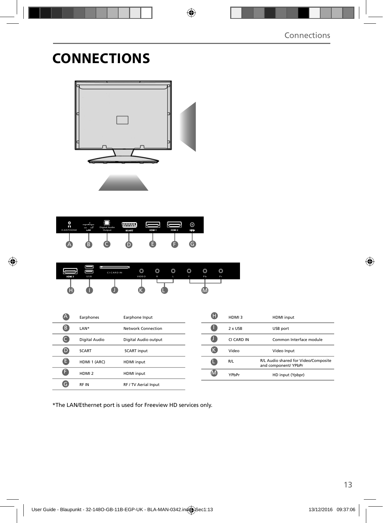# **CONNECTIONS**



| O<br>റ<br><b>EARPHONE</b> | LAN | Digital Audio<br>Output | <b>BOART</b> | HOM 1 | HDM 2 | (c)<br>RF N |
|---------------------------|-----|-------------------------|--------------|-------|-------|-------------|
|                           | ÷   |                         |              |       |       |             |

| HDM <sub>3</sub> | <b>USB</b> | ш<br><b>CICARD IN</b> | O<br>VIDEO | 0<br>R | $\circledcirc$ | $\circledcirc$<br>Y | $\circledcirc$<br>Pb | ◚<br>v<br>Pr |  |
|------------------|------------|-----------------------|------------|--------|----------------|---------------------|----------------------|--------------|--|
|                  |            |                       |            |        |                |                     |                      |              |  |

|   | Earphones         | Earphone Input       |
|---|-------------------|----------------------|
| в | LAN*              | Network Connection   |
|   | Digital Audio     | Digital Audio output |
| D | <b>SCART</b>      | <b>SCART</b> input   |
| Е | HDMI 1 (ARC)      | <b>HDMI</b> input    |
| E | HDMI <sub>2</sub> | <b>HDMI</b> input    |
|   | <b>RFIN</b>       | RF / TV Aerial Input |

| HDMI3      | <b>HDMI</b> input                                            |
|------------|--------------------------------------------------------------|
| 2 x USB    | USB port                                                     |
| CI CARD IN | Common Interface module                                      |
| Video      | Video Input                                                  |
| R/L        | R/L Audio shared for Video/Composite<br>and component/ YPbPr |
| YPhPr      | HD input (Ypbpr)                                             |

\*The LAN/Ethernet port is used for Freeview HD services only.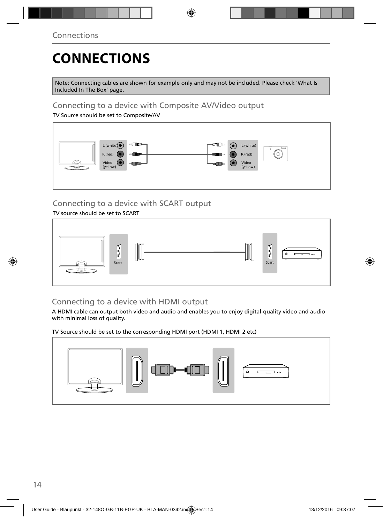# **CONNECTIONS**

Note: Connecting cables are shown for example only and may not be included. Please check 'What Is Included In The Box' page.

### Connecting to a device with Composite AV/Video output

TV Source should be set to Composite/AV



### Connecting to a device with SCART output

#### TV source should be set to SCART



### Connecting to a device with HDMI output

A HDMI cable can output both video and audio and enables you to enjoy digital-quality video and audio with minimal loss of quality.

TV Source should be set to the corresponding HDMI port (HDMI 1, HDMI 2 etc)

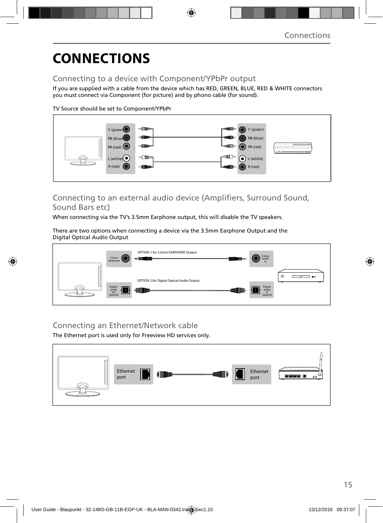# **CONNECTIONS**

### Connecting to a device with Component/YPbPr output

If you are supplied with a cable from the device which has RED, GREEN, BLUE, RED & WHITE connectors you must connect via Component (for picture) and by phono cable (for sound).

TV Source should be set to Component/YPbPr



### Connecting to an external audio device (Amplifiers, Surround Sound, Sound Bars etc)

When connecting via the TV's 3.5mm Earphone output, this will disable the TV speakers.

There are two options when connecting a device via the 3.5mm Earphone Output and the Digital Optical Audio Output



### Connecting an Ethernet/Network cable

The Ethernet port is used only for Freeview HD services only.

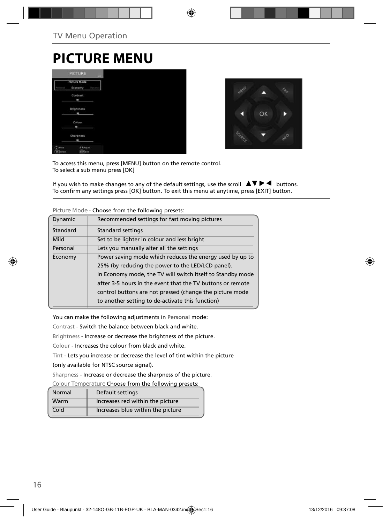## **PICTURE MENU**

|                      | <b>PICTURE</b>                        | <b>LIFE</b>    |
|----------------------|---------------------------------------|----------------|
| <b>Parmid</b>        | <b>Picture Mode</b><br>Economy        | <b>Pyrtual</b> |
|                      | Contrast<br>۰                         |                |
|                      | Brightness<br>m                       |                |
|                      | Colour<br>ı                           |                |
|                      | Sharpness<br>$\overline{\phantom{a}}$ |                |
| $T$ Mout<br>OK Tench | <b>CAASUS</b><br>don't Latt           |                |



To access this menu, press [MENU] button on the remote control. To select a sub menu press [OK]

If you wish to make changes to any of the default settings, use the scroll  $\Box \blacktriangleright \blacktriangleleft$  buttons. To confirm any settings press [OK] button. To exit this menu at anytime, press [EXIT] button.

|          | <u>ensode</u> nom and ronoming preseas:                    |
|----------|------------------------------------------------------------|
| Dynamic  | Recommended settings for fast moving pictures              |
| Standard | <b>Standard settings</b>                                   |
| Mild     | Set to be lighter in colour and less bright                |
| Personal | Lets you manually alter all the settings                   |
| Economy  | Power saving mode which reduces the energy used by up to   |
|          | 25% (by reducing the power to the LED/LCD panel).          |
|          | In Economy mode, the TV will switch itself to Standby mode |
|          | after 3-5 hours in the event that the TV buttons or remote |
|          | control buttons are not pressed (change the picture mode   |
|          | to another setting to de-activate this function)           |

**Picture Mode** - Choose from the following presets:

You can make the following adjustments in **Personal** mode:

Contrast - Switch the balance between black and white.

Brightness - Increase or decrease the brightness of the picture.

Colour - Increases the colour from black and white.

Tint - Lets you increase or decrease the level of tint within the picture

(only available for NTSC source signal).

Sharpness - Increase or decrease the sharpness of the picture.

**Colour Temperature** Choose from the following presets:

| Normal | Default settings                  |
|--------|-----------------------------------|
| Warm   | Increases red within the picture  |
| Cold   | Increases blue within the picture |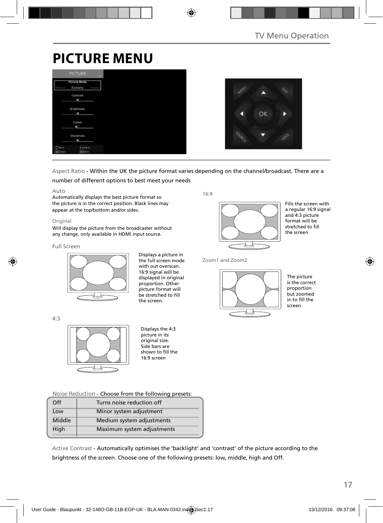# **PICTURE MENU**

|                   | <b>PICTURE</b>                 | <b>COLLECT</b> |  |  |  |
|-------------------|--------------------------------|----------------|--|--|--|
|                   | <b>Picture Mode</b><br>Economy | Dynami         |  |  |  |
|                   | Contrast<br>ı                  |                |  |  |  |
|                   | Brightness<br><b>MB</b>        |                |  |  |  |
|                   | Colour<br>ı                    |                |  |  |  |
|                   | Sharpness                      |                |  |  |  |
| Move<br>OK Terect | $\bigodot$ Adjust<br>dorf Ent  |                |  |  |  |



Aspect Ratio - Within the UK the picture format varies depending on the channel/broadcast. There are a

number of different options to best meet your needs

#### Auto

Automatically displays the best picture format so the picture is in the correct position. Black lines may appear at the top/bottom and/or sides.

#### Original

Will display the picture from the broadcaster without any change, only available in HDMI input source.

#### Full Screen

4:3



Displays a picture in the full screen mode with out overscan. 16:9 signal will be displayed in original proportion. Other picture format will be stretched to fill the screen.

16:9



Fills the screen with a regular 16:9 signal and 4:3 picture format will be stretched to fill the screen

Zoom1 and Zoom2



The picture is the correct proportion but zoomed  $\frac{1}{2}$  in to fill the screen

Displays the 4:3 picture in its original size. Side bars are shown to fill the 16:9 screen

**Noise Reduction** - Choose from the following presets:

| Off    | Turns noise reduction off  |  |
|--------|----------------------------|--|
| Low    | Minor system adjustment    |  |
| Middle | Medium system adjustments  |  |
| High   | Maximum system adjustments |  |
|        |                            |  |

Active Contrast - Automatically optimises the 'backlight' and 'contrast' of the picture according to the brightness of the screen. Choose one of the following presets: low, middle, high and Off.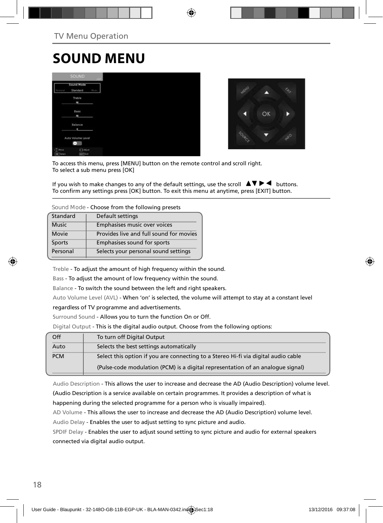# **SOUND MENU**

|                                        | SOUND.                 |                |
|----------------------------------------|------------------------|----------------|
|                                        | Sound Mode<br>Standard | <b>Pluster</b> |
|                                        | Treble<br>ı            |                |
|                                        | Bass<br>ı              |                |
|                                        | Balance<br>٠           |                |
|                                        | Auto Volume Level<br>Ξ |                |
| $\binom{n}{k}$ Have<br><b>CK</b> Tered | 3 Mint<br>earline      |                |



To access this menu, press [MENU] button on the remote control and scroll right. To select a sub menu press [OK]

If you wish to make changes to any of the default settings, use the scroll  $\blacktriangle \blacktriangledown \blacktriangleright \blacktriangleleft$  buttons. To confirm any settings press [OK] button. To exit this menu at anytime, press [EXIT] button.

**Sound Mode** - Choose from the following presets

| Standard     | Default settings                        |  |  |  |
|--------------|-----------------------------------------|--|--|--|
| <b>Music</b> | Emphasises music over voices            |  |  |  |
| Movie        | Provides live and full sound for movies |  |  |  |
| Sports       | Emphasises sound for sports             |  |  |  |
| Personal     | Selects your personal sound settings    |  |  |  |
|              |                                         |  |  |  |

Treble - To adjust the amount of high frequency within the sound.

Bass - To adjust the amount of low frequency within the sound.

Balance - To switch the sound between the left and right speakers.

Auto Volume Level (AVL) - When 'on' is selected, the volume will attempt to stay at a constant level

regardless of TV programme and advertisements.

Surround Sound - Allows you to turn the function On or Off.

Digital Output - This is the digital audio output. Choose from the following options:

| Off        | To turn off Digital Output                                                         |
|------------|------------------------------------------------------------------------------------|
| Auto       | Selects the best settings automatically                                            |
| <b>PCM</b> | Select this option if you are connecting to a Stereo Hi-fi via digital audio cable |
|            | (Pulse-code modulation (PCM) is a digital representation of an analogue signal)    |

Audio Description - This allows the user to increase and decrease the AD (Audio Description) volume level. (Audio Description is a service available on certain programmes. It provides a description of what is happening during the selected programme for a person who is visually impaired).

AD Volume - This allows the user to increase and decrease the AD (Audio Description) volume level. Audio Delay - Enables the user to adjust setting to sync picture and audio.

SPDIF Delay - Enables the user to adjust sound setting to sync picture and audio for external speakers connected via digital audio output.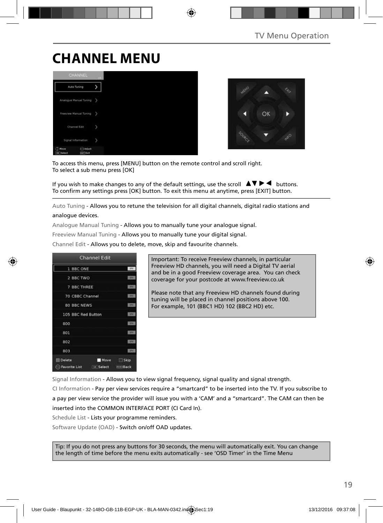# **CHANNEL MENU**





To access this menu, press [MENU] button on the remote control and scroll right. To select a sub menu press [OK]

If you wish to make changes to any of the default settings, use the scroll  $\Delta \nabla \blacktriangleright$   $\blacktriangleleft$  buttons. To confirm any settings press [OK] button. To exit this menu at anytime, press [EXIT] button.

Auto Tuning - Allows you to retune the television for all digital channels, digital radio stations and analogue devices.

Analogue Manual Tuning - Allows you to manually tune your analogue signal.

Freeview Manual Tuning - Allows you to manually tune your digital signal.

Channel Edit - Allows you to delete, move, skip and favourite channels.



Important: To receive Freeview channels, in particular Freeview HD channels, you will need a Digital TV aerial and be in a good Freeview coverage area. You can check coverage for your postcode at www.freeview.co.uk

Please note that any Freeview HD channels found during tuning will be placed in channel positions above 100. For example, 101 (BBC1 HD) 102 (BBC2 HD) etc.

Signal Information - Allows you to view signal frequency, signal quality and signal strength.

CI Information - Pay per view services require a "smartcard" to be inserted into the TV. If you subscribe to a pay per view service the provider will issue you with a 'CAM' and a "smartcard". The CAM can then be inserted into the COMMON INTERFACE PORT (CI Card In).

Schedule List - Lists your programme reminders.

Software Update (OAD) - Switch on/off OAD updates.

Tip: If you do not press any buttons for 30 seconds, the menu will automatically exit. You can change the length of time before the menu exits automatically - see 'OSD Timer' in the Time Menu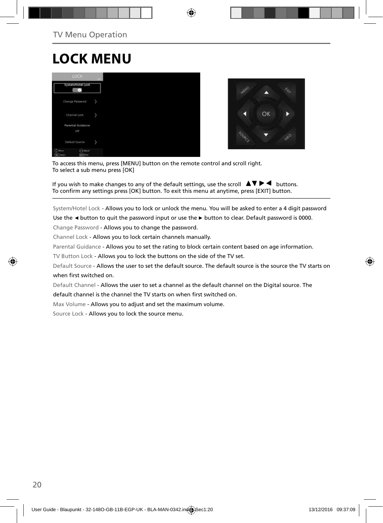# **LOCK MENU**





To access this menu, press [MENU] button on the remote control and scroll right. To select a sub menu press [OK]

If you wish to make changes to any of the default settings, use the scroll  $\Delta \nabla \blacktriangleright$   $\blacktriangleleft$  buttons. To confirm any settings press [OK] button. To exit this menu at anytime, press [EXIT] button.

System/Hotel Lock - Allows you to lock or unlock the menu. You will be asked to enter a 4 digit password

Use the **◄** button to quit the password input or use the **►** button to clear. Default password is 0000.

Change Password - Allows you to change the password.

Channel Lock - Allows you to lock certain channels manually.

Parental Guidance - Allows you to set the rating to block certain content based on age information.

TV Button Lock - Allows you to lock the buttons on the side of the TV set.

Default Source - Allows the user to set the default source. The default source is the source the TV starts on when first switched on.

Default Channel - Allows the user to set a channel as the default channel on the Digital source. The

default channel is the channel the TV starts on when first switched on.

Max Volume - Allows you to adjust and set the maximum volume.

Source Lock - Allows you to lock the source menu.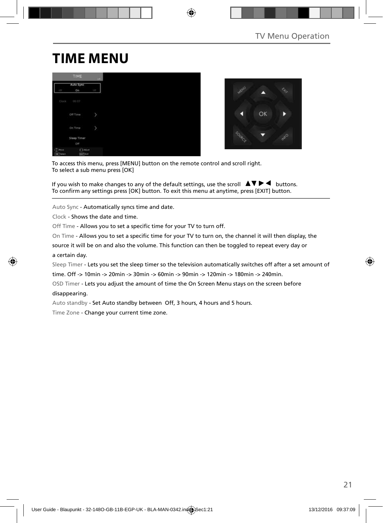# **TIME MENU**

|                                     | <b>TIME</b>                      | $-441$     |
|-------------------------------------|----------------------------------|------------|
|                                     | Auto Sync                        |            |
| CIT                                 | On                               | <b>CEP</b> |
| Clock                               | 00:07                            |            |
|                                     | Off Time                         | y          |
|                                     | On Time                          | y          |
|                                     | Sleep Timer                      |            |
|                                     | Off                              |            |
| G<br><b>Hove</b><br><b>DK</b> Twent | <b>CAASat</b><br><b>Earl</b> Eat |            |



To access this menu, press [MENU] button on the remote control and scroll right. To select a sub menu press [OK]

If you wish to make changes to any of the default settings, use the scroll  $\Delta \nabla \blacktriangleright$   $\blacktriangleleft$  buttons. To confirm any settings press [OK] button. To exit this menu at anytime, press [EXIT] button.

Auto Sync - Automatically syncs time and date.

Clock - Shows the date and time.

Off Time - Allows you to set a specific time for your TV to turn off.

On Time - Allows you to set a specific time for your TV to turn on, the channel it will then display, the

source it will be on and also the volume. This function can then be toggled to repeat every day or a certain day.

Sleep Timer - Lets you set the sleep timer so the television automatically switches off after a set amount of

time. Off -> 10min -> 20min -> 30min -> 60min -> 90min -> 120min -> 180min -> 240min.

OSD Timer - Lets you adjust the amount of time the On Screen Menu stays on the screen before disappearing.

Auto standby - Set Auto standby between Off, 3 hours, 4 hours and 5 hours.

Time Zone - Change your current time zone.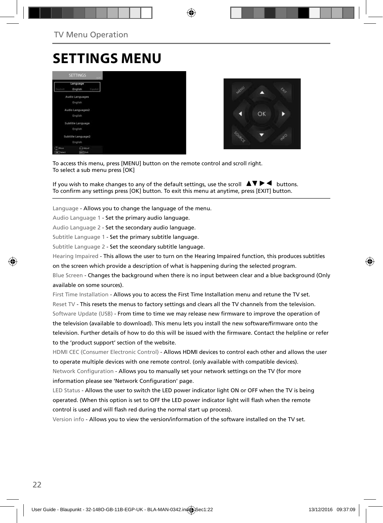## **SETTINGS MENU**





To access this menu, press [MENU] button on the remote control and scroll right. To select a sub menu press [OK]

If you wish to make changes to any of the default settings, use the scroll  $\Box \blacktriangledown \blacktriangleright \blacktriangleleft$  buttons. To confirm any settings press [OK] button. To exit this menu at anytime, press [EXIT] button.

Language - Allows you to change the language of the menu.

Audio Language 1 - Set the primary audio language.

Audio Language 2 - Set the secondary audio language.

Subtitle Language 1 - Set the primary subtitle language.

Subtitle Language 2 - Set the sceondary subtitle language.

Hearing Impaired - This allows the user to turn on the Hearing Impaired function, this produces subtitles

on the screen which provide a description of what is happening during the selected program.

Blue Screen - Changes the background when there is no input between clear and a blue background (Only available on some sources).

First Time Installation - Allows you to access the First Time Installation menu and retune the TV set. Reset TV - This resets the menus to factory settings and clears all the TV channels from the television. Software Update (USB) - From time to time we may release new firmware to improve the operation of the television (available to download). This menu lets you install the new software/firmware onto the television. Further details of how to do this will be issued with the firmware. Contact the helpline or refer to the 'product support' section of the website.

HDMI CEC (Consumer Electronic Control) - Allows HDMI devices to control each other and allows the user to operate multiple devices with one remote control. (only available with compatible devices). Network Configuration - Allows you to manually set your network settings on the TV (for more information please see 'Network Configuration' page.

LED Status - Allows the user to switch the LED power indicator light ON or OFF when the TV is being operated. (When this option is set to OFF the LED power indicator light will flash when the remote control is used and will flash red during the normal start up process).

Version info - Allows you to view the version/information of the software installed on the TV set.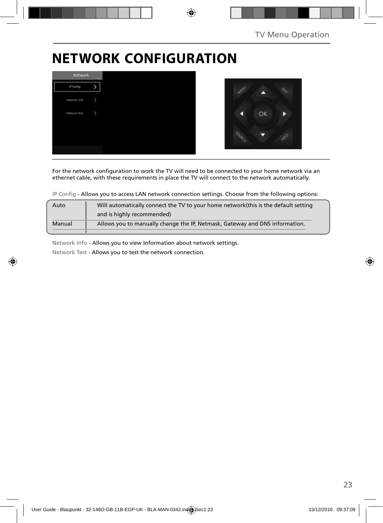# **NETWORK CONFIGURATION**



For the network configuration to work the TV will need to be connected to your home network via an ethernet cable, with these requirements in place the TV will connect to the network automatically.

IP Config - Allows you to access LAN network connection settings. Choose from the following options:

| Auto   | Will automatically connect the TV to your home network (this is the default setting |
|--------|-------------------------------------------------------------------------------------|
|        | and is highly recommended)                                                          |
| Manual | Allows you to manually change the IP, Netmask, Gateway and DNS information.         |
|        |                                                                                     |

Network Info - Allows you to view Information about network settings.

Network Test - Allows you to test the network connection.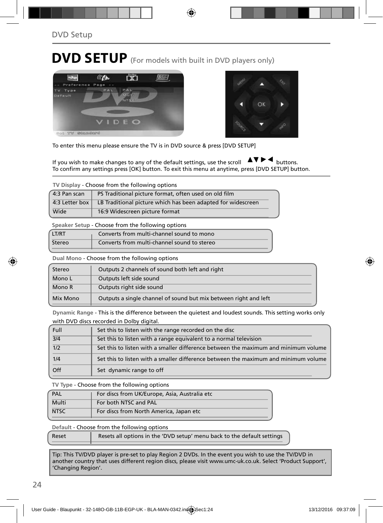# **DVD SETUP** (For models with built in DVD players only)





To enter this menu please ensure the TV is in DVD source & press [DVD SETUP]

If you wish to make changes to any of the default settings, use the scroll  $\Delta \nabla \blacktriangleright$   $\blacktriangleleft$  buttons. To confirm any settings press [OK] button. To exit this menu at anytime, press [DVD SETUP] button.

**TV Display** - Choose from the following options

| 4:3 Pan scan | PS Traditional picture format, often used on old film                         |
|--------------|-------------------------------------------------------------------------------|
|              | 4:3 Letter box   LB Traditional picture which has been adapted for widescreen |
| Wide         | 16:9 Widescreen picture format                                                |

**Speaker Setup** - Choose from the following options

| <b>ITRT</b> | Converts from multi-channel sound to mono   |
|-------------|---------------------------------------------|
| Stereo      | Converts from multi-channel sound to stereo |

**Dual Mono** - Choose from the following options

| Stereo   | Outputs 2 channels of sound both left and right                  |
|----------|------------------------------------------------------------------|
| Mono L   | Outputs left side sound                                          |
| Mono R   | Outputs right side sound                                         |
| Mix Mono | Outputs a single channel of sound but mix between right and left |

**Dynamic Range** - This is the difference between the quietest and loudest sounds. This setting works only with DVD discs recorded in Dolby digital.

| Full | Set this to listen with the range recorded on the disc                              |
|------|-------------------------------------------------------------------------------------|
| 3/4  | Set this to listen with a range equivalent to a normal television                   |
| 1/2  | Set this to listen with a smaller difference between the maximum and minimum volume |
| 1/4  | Set this to listen with a smaller difference between the maximum and minimum volume |
| Off  | Set dynamic range to off                                                            |

**TV Type** - Choose from the following options

| PAL         | For discs from UK/Europe, Asia, Australia etc |
|-------------|-----------------------------------------------|
| Multi       | For both NTSC and PAL                         |
| <b>NTSC</b> | For discs from North America, Japan etc       |

**Default** - Choose from the following options

Reset Resets all options in the 'DVD setup' menu back to the default settings

Tip: This TV/DVD player is pre-set to play Region 2 DVDs. In the event you wish to use the TV/DVD in another country that uses different region discs, please visit www.umc-uk.co.uk. Select 'Product Support', 'Changing Region'.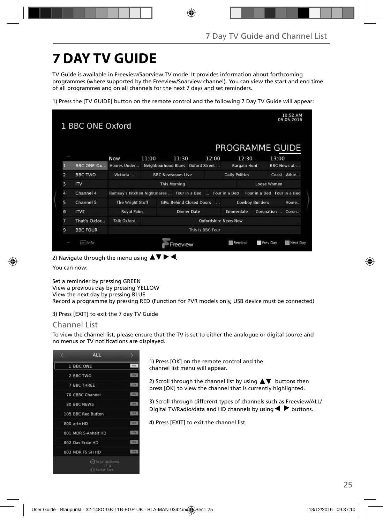# **7 DAY TV GUIDE**

TV Guide is available in Freeview/Saorview TV mode. It provides information about forthcoming programmes (where supported by the Freeview/Soarview channel). You can view the start and end time of all programmes and on all channels for the next 7 days and set reminders.

1) Press the [TV GUIDE] button on the remote control and the following 7 Day TV Guide will appear:

|                | 1 BBC ONE Oxford           |                    |                             |                                                             |            |                       |                        | 10:52 AM<br>09.05.2016      |  |
|----------------|----------------------------|--------------------|-----------------------------|-------------------------------------------------------------|------------|-----------------------|------------------------|-----------------------------|--|
|                |                            |                    |                             |                                                             |            |                       |                        | PROGRAMME GUIDE             |  |
|                |                            | <b>Now</b>         | 11:00                       | 11:30                                                       | 12:00      | 12:30                 |                        | 13:00                       |  |
| F              | <b>BBC ONE Ox</b>          | Homes Under        |                             | Neighbourhood Blues Oxford Street                           |            | <b>Bargain Hunt</b>   |                        | <b>BBC News at </b>         |  |
| $\overline{2}$ | <b>BBC TWO</b>             | Victoria           |                             | <b>BBC Newsroom Live</b>                                    |            | <b>Daily Politics</b> |                        | Coast Athle                 |  |
| 3              | $\mathsf{I}^{\mathsf{IV}}$ |                    |                             | <b>This Morning</b>                                         |            | Loose Women           |                        |                             |  |
| 4              | Channel 4                  |                    |                             | Ramsay's Kitchen Nightmares  Four in a Bed<br>Four in a Bed |            |                       |                        | Four in a Bed Four in a Bed |  |
| 5              | Channel 5                  | The Wright Stuff   |                             | <b>GPs: Behind Closed Doors</b>                             | <b>TAX</b> |                       | <b>Cowboy Builders</b> | Home                        |  |
| 6              | IV2                        | <b>Royal Pains</b> |                             | <b>Dinner Date</b>                                          |            | Emmerdale             | Coronation             | Coron                       |  |
| 7              | That's Oxfor               | <b>Talk Oxford</b> | <b>Oxfordshire News Now</b> |                                                             |            |                       |                        |                             |  |
| 9              | <b>BBC FOUR</b>            | This Is BBC Four   |                             |                                                             |            |                       |                        |                             |  |
|                | art Info                   |                    |                             | reeview                                                     |            | Remind                | <b>Prev Day</b>        | Next Day                    |  |

2) Navigate through the menu using  $\blacktriangle \blacktriangledown \blacktriangleright \blacktriangleleft$ .

You can now:

Set a reminder by pressing GREEN View a previous day by pressing YELLOW View the next day by pressing BLUE Record a programme by pressing RED (Function for PVR models only, USB device must be connected)

3) Press [EXIT] to exit the 7 day TV Guide

### Channel List

To view the channel list, please ensure that the TV is set to either the analogue or digital source and no menus or TV notifications are displayed.

| <b>ALL</b>                          |             |
|-------------------------------------|-------------|
| 1 BBC ONE                           | orv         |
| 2 BBC TWO                           | <b>LITV</b> |
| 7 BBC THREE                         | <b>LTV</b>  |
| 70 CBBC Channel                     | <b>DN</b>   |
| <b>80 BBC NEWS</b>                  | <b>ISP</b>  |
| 105 BBC Red Button                  | <b>KIN</b>  |
| 800 arte HD                         | <b>D'A</b>  |
| 801 MDR S-Anhalt HD                 | <b>DTV</b>  |
| 802 Das Erste HD                    | <b>TEX</b>  |
| 803 NDR FS SH HD                    | m           |
| ie) Page Up/Down<br>. » Select Sort |             |

1) Press [OK] on the remote control and the channel list menu will appear.

2) Scroll through the channel list by using  $\blacktriangle\blacktriangledown$  buttons then press [OK] to view the channel that is currently highlighted.

3) Scroll through different types of channels such as Freeview/ALL/ Digital TV/Radio/data and HD channels by using  $\blacklozenge \blacktriangleright$  buttons.

4) Press [EXIT] to exit the channel list.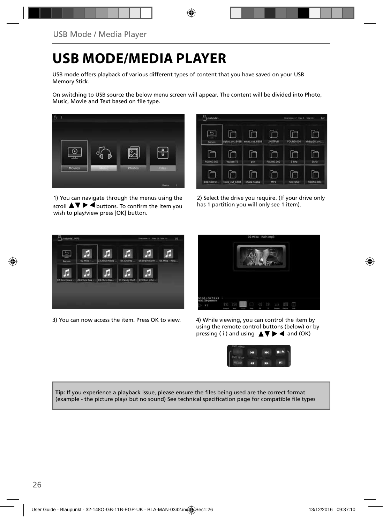# **USB MODE/MEDIA PLAYER**

USB mode offers playback of various different types of content that you have saved on your USB Memory Stick.

On switching to USB source the below menu screen will appear. The content will be divided into Photo, Music, Movie and Text based on file type.



1) You can navigate through the menus using the scroll  $\blacktriangle \blacktriangledown \blacktriangleright \blacktriangleleft$  buttons. To confirm the item you wish to play/view press [OK] button.

| /usb/sda1 |                               |             |                  | Discoveries 17, 4944 D. Tolat 34 | 1/2         |
|-----------|-------------------------------|-------------|------------------|----------------------------------|-------------|
| Return.   | ciplus cvt 6488 amac cvt 6308 |             | <b>MSTPVR</b>    | FOUND.000                        | xhdcp20_cvt |
| FOUND 001 | Yousee TS                     | pvr         | <b>FOUND.002</b> | 2100                             | 1kHz        |
| 100-500Hz | hotp_cvt_6488                 | chata hudba | MP3              | new OSD                          | FOUND DOA   |

2) Select the drive you require. (If your drive only has 1 partition you will only see 1 item).



3) You can now access the item. Press OK to view. 4) While viewing, you can control the item by



using the remote control buttons (below) or by pressing (i) and using  $\triangle \blacktriangledown \blacktriangleright \blacktriangleleft$  and (OK)



Tip: If you experience a playback issue, please ensure the files being used are the correct format (example - the picture plays but no sound) See technical specification page for compatible file types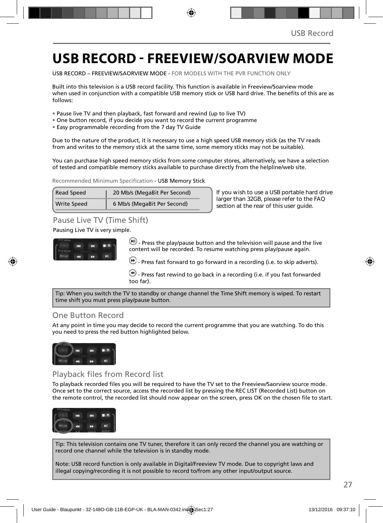### **USB RECORD - FREEVIEW/SOARVIEW MODE**

USB RECORD – FREEVIEW/SAORVIEW MODE - FOR MODELS WITH THE PVR FUNCTION ONLY

Built into this television is a USB record facility. This function is available in Freeview/Soarview mode when used in conjunction with a compatible USB memory stick or USB hard drive. The benefits of this are as follows:

- Pause live TV and then playback, fast forward and rewind (up to live TV)
- One button record, if you decide you want to record the current programme
- Easy programmable recording from the 7 day TV Guide

Due to the nature of the product, it is necessary to use a high speed USB memory stick (as the TV reads from and writes to the memory stick at the same time, some memory sticks may not be suitable).

You can purchase high speed memory sticks from some computer stores, alternatively, we have a selection of tested and compatible memory sticks available to purchase directly from the helpline/web site.

Recommended Minimum Specification - USB Memory Stick

| Read Speed  | 20 Mb/s (MegaBit Per Second) |  |  |
|-------------|------------------------------|--|--|
| Write Speed | 6 Mb/s (MegaBit Per Second)  |  |  |

**If you wish to use a USB portable hard drive larger than 32GB, please refer to the FAQ section at the rear of this user guide.**

### Pause Live TV (Time Shift)

#### Pausing Live TV is very simple.



 $(n)$  - Press the play/pause button and the television will pause and the live content will be recorded. To resume watching press play/pause again.

 $\bigcirc$  - Press fast forward to go forward in a recording (i.e. to skip adverts).

 $\bigcirc$  - Press fast rewind to go back in a recording (i.e. if you fast forwarded too far).

Tip: When you switch the TV to standby or change channel the Time Shift memory is wiped. To restart time shift you must press play/pause button.

### One Button Record

At any point in time you may decide to record the current programme that you are watching. To do this you need to press the red button highlighted below.



### Playback files from Record list

To playback recorded files you will be required to have the TV set to the Freeview/Saorview source mode. Once set to the correct source, access the recorded list by pressing the REC LIST (Recorded List) button on the remote control, the recorded list should now appear on the screen, press OK on the chosen file to start.



Tip: This television contains one TV tuner, therefore it can only record the channel you are watching or record one channel while the television is in standby mode.

Note: USB record function is only available in Digital/Freeview TV mode. Due to copyright laws and illegal copying/recording it is not possible to record to/from any other input/output source.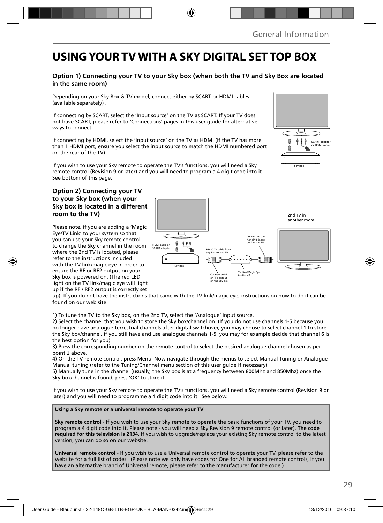ò

### **USING YOUR TV WITH A SKY DIGITAL SET TOP BOX**

#### **Option 1) Connecting your TV to your Sky box (when both the TV and Sky Box are located in the same room)**

Depending on your Sky Box & TV model, connect either by SCART or HDMI cables (available separately) .

If connecting by SCART, select the 'Input source' on the TV as SCART. If your TV does not have SCART, please refer to 'Connections' pages in this user guide for alternative ways to connect.

If connecting by HDMI, select the 'Input source' on the TV as HDMI (if the TV has more than 1 HDMI port, ensure you select the input source to match the HDMI numbered port on the rear of the TV).

If you wish to use your Sky remote to operate the TV's functions, you will need a Sky remote control (Revision 9 or later) and you will need to program a 4 digit code into it. See bottom of this page.

#### **Option 2) Connecting your TV to your Sky box (when your Sky box is located in a different room to the TV)**

Please note, if you are adding a 'Magic Eye/TV Link' to your system so that you can use your Sky remote control to change the Sky channel in the room where the 2nd TV is located, please refer to the instructions included with the TV link/magic eye in order to ensure the RF or RF2 output on your Sky box is powered on. (The red LED light on the TV link/magic eye will light up if the RF / RF2 output is correctly set



up) If you do not have the instructions that came with the TV link/magic eye, instructions on how to do it can be found on our web site.

1) To tune the TV to the Sky box, on the 2nd TV, select the 'Analogue' input source.

2) Select the channel that you wish to store the Sky box/channel on. (If you do not use channels 1-5 because you no longer have analogue terrestrial channels after digital switchover, you may choose to select channel 1 to store the Sky box/channel, if you still have and use analogue channels 1-5, you may for example decide that channel 6 is the best option for you)

3) Press the corresponding number on the remote control to select the desired analogue channel chosen as per point 2 above.

4) On the TV remote control, press Menu. Now navigate through the menus to select Manual Tuning or Analogue Manual tuning (refer to the Tuning/Channel menu section of this user guide if necessary)

5) Manually tune in the channel (usually, the Sky box is at a frequency between 800Mhz and 850Mhz) once the Sky box/channel is found, press 'OK' to store it.

If you wish to use your Sky remote to operate the TV's functions, you will need a Sky remote control (Revision 9 or later) and you will need to programme a 4 digit code into it. See below.

**Using a Sky remote or a universal remote to operate your TV** 

**Sky remote control** - If you wish to use your Sky remote to operate the basic functions of your TV, you need to program a 4 digit code into it. Please note - you will need a Sky Revision 9 remote control (or later). **The code required for this television is 2134.** If you wish to upgrade/replace your existing Sky remote control to the latest version, you can do so on our website.

**Universal remote control** - If you wish to use a Universal remote control to operate your TV, please refer to the website for a full list of codes. (Please note we only have codes for One for All branded remote controls, if you have an alternative brand of Universal remote, please refer to the manufacturer for the code.)

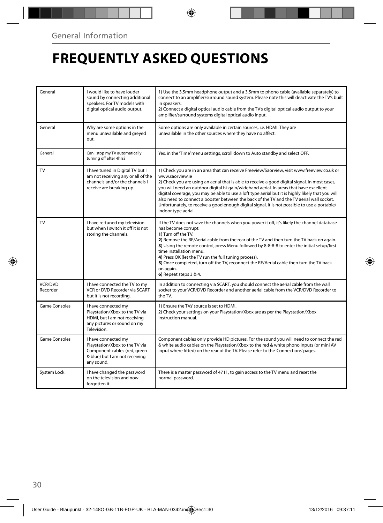# **FREQUENTLY ASKED QUESTIONS**

| General              | I would like to have louder<br>sound by connecting additional<br>speakers. For TV models with<br>digital optical audio output.        | 1) Use the 3.5mm headphone output and a 3.5mm to phono cable (available separately) to<br>connect to an amplifier/surround sound system. Please note this will deactivate the TV's built<br>in speakers.<br>2) Connect a digital optical audio cable from the TV's digital optical audio output to your<br>amplifier/surround systems digital optical audio input.                                                                                                                                                                                                                                                                  |
|----------------------|---------------------------------------------------------------------------------------------------------------------------------------|-------------------------------------------------------------------------------------------------------------------------------------------------------------------------------------------------------------------------------------------------------------------------------------------------------------------------------------------------------------------------------------------------------------------------------------------------------------------------------------------------------------------------------------------------------------------------------------------------------------------------------------|
| General              | Why are some options in the<br>menu unavailable and greyed<br>out.                                                                    | Some options are only available in certain sources, i.e. HDMI. They are<br>unavailable in the other sources where they have no affect.                                                                                                                                                                                                                                                                                                                                                                                                                                                                                              |
| General              | Can I stop my TV automatically<br>turning off after 4hrs?                                                                             | Yes, in the 'Time' menu settings, scroll down to Auto standby and select OFF.                                                                                                                                                                                                                                                                                                                                                                                                                                                                                                                                                       |
| TV                   | I have tuned in Digital TV but I<br>am not receiving any or all of the<br>channels and/or the channels I<br>receive are breaking up.  | 1) Check you are in an area that can receive Freeview/Saorview, visit www.freeview.co.uk or<br>www.saorview.ie<br>2) Check you are using an aerial that is able to receive a good digital signal. In most cases,<br>you will need an outdoor digital hi-gain/wideband aerial. In areas that have excellent<br>digital coverage, you may be able to use a loft type aerial but it is highly likely that you will<br>also need to connect a booster between the back of the TV and the TV aerial wall socket.<br>Unfortunately, to receive a good enough digital signal, it is not possible to use a portable/<br>indoor type aerial. |
| <b>TV</b>            | I have re-tuned my television<br>but when I switch it off it is not<br>storing the channels.                                          | If the TV does not save the channels when you power it off, it's likely the channel database<br>has become corrupt.<br>1) Turn off the TV.<br>2) Remove the RF/Aerial cable from the rear of the TV and then turn the TV back on again.<br>3) Using the remote control, press Menu followed by 8-8-8-8 to enter the initial setup/first<br>time installation menu.<br>4) Press OK (let the TV run the full tuning process).<br>5) Once completed, turn off the TV, reconnect the RF/Aerial cable then turn the TV back<br>on again.<br>6) Repeat steps 3 & 4.                                                                       |
| VCR/DVD<br>Recorder  | I have connected the TV to my<br>VCR or DVD Recorder via SCART<br>but it is not recordina.                                            | In addition to connecting via SCART, you should connect the aerial cable from the wall<br>socket to your VCR/DVD Recorder and another aerial cable from the VCR/DVD Recorder to<br>the TV.                                                                                                                                                                                                                                                                                                                                                                                                                                          |
| <b>Game Consoles</b> | I have connected my<br>Playstation/Xbox to the TV via<br>HDMI, but I am not receiving<br>any pictures or sound on my<br>Television.   | 1) Ensure the TVs' source is set to HDMI.<br>2) Check your settings on your Playstation/Xbox are as per the Playstation/Xbox<br>instruction manual.                                                                                                                                                                                                                                                                                                                                                                                                                                                                                 |
| <b>Game Consoles</b> | I have connected my<br>Playstation/Xbox to the TV via<br>Component cables (red, green<br>& blue) but I am not receiving<br>any sound. | Component cables only provide HD pictures. For the sound you will need to connect the red<br>& white audio cables on the Playstation/Xbox to the red & white phono inputs (or mini AV<br>input where fitted) on the rear of the TV. Please refer to the 'Connections' pages.                                                                                                                                                                                                                                                                                                                                                        |
| System Lock          | I have changed the password<br>on the television and now<br>forgotten it.                                                             | There is a master password of 4711, to gain access to the TV menu and reset the<br>normal password.                                                                                                                                                                                                                                                                                                                                                                                                                                                                                                                                 |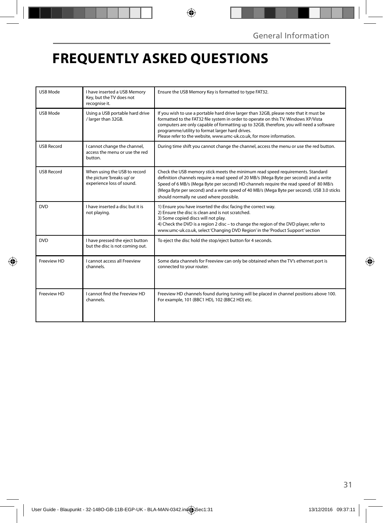# **FREQUENTLY ASKED QUESTIONS**

| USB Mode          | I have inserted a USB Memory<br>Key, but the TV does not<br>recognise it.               | Ensure the USB Memory Key is formatted to type FAT32.                                                                                                                                                                                                                                                                                                                                                     |
|-------------------|-----------------------------------------------------------------------------------------|-----------------------------------------------------------------------------------------------------------------------------------------------------------------------------------------------------------------------------------------------------------------------------------------------------------------------------------------------------------------------------------------------------------|
| USB Mode          | Using a USB portable hard drive<br>/ larger than 32GB.                                  | If you wish to use a portable hard drive larger than 32GB, please note that it must be<br>formatted to the FAT32 file system in order to operate on this TV. Windows XP/Vista<br>computers are only capable of formatting up to 32GB, therefore, you will need a software<br>programme/utility to format larger hard drives.<br>Please refer to the website, www.umc-uk.co.uk, for more information.      |
| <b>USB Record</b> | I cannot change the channel,<br>access the menu or use the red<br>button.               | During time shift you cannot change the channel, access the menu or use the red button.                                                                                                                                                                                                                                                                                                                   |
| <b>USB Record</b> | When using the USB to record<br>the picture 'breaks up' or<br>experience loss of sound. | Check the USB memory stick meets the minimum read speed requirements. Standard<br>definition channels require a read speed of 20 MB/s (Mega Byte per second) and a write<br>Speed of 6 MB/s (Mega Byte per second) HD channels require the read speed of 80 MB/s<br>(Mega Byte per second) and a write speed of 40 MB/s (Mega Byte per second). USB 3.0 sticks<br>should normally ne used where possible. |
| <b>DVD</b>        | I have inserted a disc but it is<br>not playing.                                        | 1) Ensure you have inserted the disc facing the correct way.<br>2) Ensure the disc is clean and is not scratched.<br>3) Some copied discs will not play.<br>4) Check the DVD is a region 2 disc - to change the region of the DVD player, refer to<br>www.umc-uk.co.uk, select 'Changing DVD Region' in the 'Product Support' section                                                                     |
| <b>DVD</b>        | I have pressed the eject button<br>but the disc is not coming out.                      | To eject the disc hold the stop/eject button for 4 seconds.                                                                                                                                                                                                                                                                                                                                               |
| Freeview HD       | Lcannot access all Freeview<br>channels.                                                | Some data channels for Freeview can only be obtained when the TV's ethernet port is<br>connected to your router.                                                                                                                                                                                                                                                                                          |
| Freeview HD       | I cannot find the Freeview HD<br>channels.                                              | Freeview HD channels found during tuning will be placed in channel positions above 100.<br>For example, 101 (BBC1 HD), 102 (BBC2 HD) etc.                                                                                                                                                                                                                                                                 |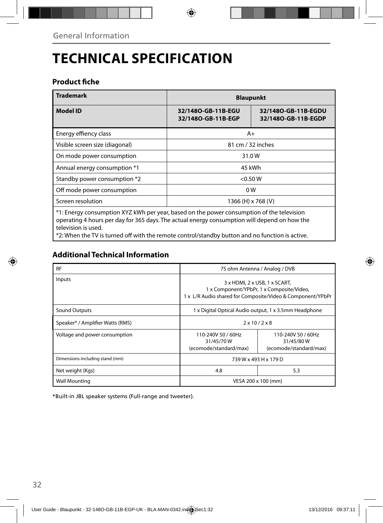# **TECHNICAL SPECIFICATION**

### **Product fiche**

| <b>Trademark</b>                                                                                                                                                                                                 | <b>Blaupunkt</b>                         |                                            |  |
|------------------------------------------------------------------------------------------------------------------------------------------------------------------------------------------------------------------|------------------------------------------|--------------------------------------------|--|
| <b>Model ID</b>                                                                                                                                                                                                  | 32/1480-GB-11B-EGU<br>32/1480-GB-11B-EGP | 32/1480-GB-11B-EGDU<br>32/1480-GB-11B-EGDP |  |
| Energy effiency class                                                                                                                                                                                            | A+                                       |                                            |  |
| Visible screen size (diagonal)                                                                                                                                                                                   | 81 cm / 32 inches                        |                                            |  |
| On mode power consumption                                                                                                                                                                                        | 31.0W                                    |                                            |  |
| Annual energy consumption *1                                                                                                                                                                                     | 45 kWh                                   |                                            |  |
| Standby power consumption *2                                                                                                                                                                                     | < 0.50 W                                 |                                            |  |
| Off mode power consumption                                                                                                                                                                                       | 0W                                       |                                            |  |
| Screen resolution                                                                                                                                                                                                | 1366 (H) x 768 (V)                       |                                            |  |
| *1: Energy consumption XYZ kWh per year, based on the power consumption of the television<br>operating 4 hours per day for 365 days. The actual energy consumption will depend on how the<br>television is used. |                                          |                                            |  |

\*2: When the TV is turned off with the remote control/standby button and no function is active.

### **Additional Technical Information**

| <b>RF</b>                        | 75 ohm Antenna / Analog / DVB                                                                                                            |                                                           |  |
|----------------------------------|------------------------------------------------------------------------------------------------------------------------------------------|-----------------------------------------------------------|--|
| Inputs                           | 3 x HDMI, 2 x USB, 1 x SCART,<br>1 x Component/YPbPr, 1 x Composite/Video,<br>1 x L/R Audio shared for Composite/Video & Component/YPbPr |                                                           |  |
| Sound Outputs                    | 1 x Digital Optical Audio output, 1 x 3.5mm Headphone                                                                                    |                                                           |  |
| Speaker* / Amplifier Watts (RMS) | $2 \times 10 / 2 \times 8$                                                                                                               |                                                           |  |
| Voltage and power consumption    | 110-240V 50 / 60Hz<br>31/45/70W<br>(ecomode/standard/max)                                                                                | 110-240V 50 / 60Hz<br>31/45/80W<br>(ecomode/standard/max) |  |
| Dimensions including stand (mm)  | 739 W x 493 H x 179 D                                                                                                                    |                                                           |  |
| Net weight (Kgs)                 | 4.8                                                                                                                                      | 5.3                                                       |  |
| <b>Wall Mounting</b>             | VESA 200 x 100 (mm)                                                                                                                      |                                                           |  |

\*Built-in JBL speaker systems (Full-range and tweeter).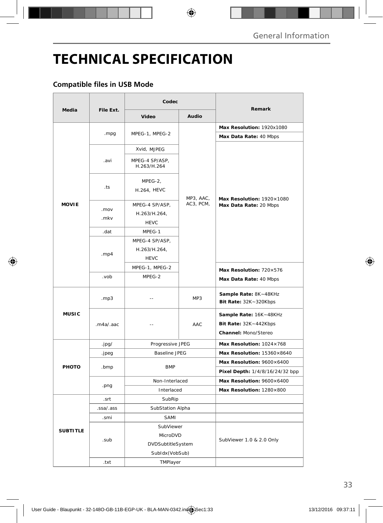# **TECHNICAL SPECIFICATION**

### **Compatible files in USB Mode**

|                 | File Ext.                                             | Codec                          |           |                                                                         |
|-----------------|-------------------------------------------------------|--------------------------------|-----------|-------------------------------------------------------------------------|
| <b>Media</b>    |                                                       | <b>Video</b>                   | Audio     | Remark                                                                  |
|                 |                                                       | MPEG-1, MPEG-2                 |           | Max Resolution: 1920x1080                                               |
|                 | .mpg                                                  |                                |           | Max Data Rate: 40 Mbps                                                  |
|                 |                                                       | Xvid, MJPEG                    |           |                                                                         |
| <b>MOVIE</b>    | .avi                                                  | MPEG-4 SP/ASP,<br>H.263/H.264  |           |                                                                         |
|                 | .ts                                                   | MPEG-2,<br><b>H.264, HEVC</b>  | MP3, AAC, | Max Resolution: 1920×1080                                               |
|                 | .mov<br>.mkv                                          | MPEG-4 SP/ASP,<br>H.263/H.264, | AC3, PCM, | Max Data Rate: 20 Mbps                                                  |
|                 | .dat                                                  | <b>HEVC</b><br>MPEG-1          |           |                                                                         |
|                 | MPEG-4 SP/ASP,<br>H.263/H.264,<br>.mp4<br><b>HEVC</b> |                                |           |                                                                         |
|                 |                                                       | MPEG-1, MPEG-2                 |           | Max Resolution: 720×576                                                 |
|                 | .vob                                                  | MPEG-2                         |           | Max Data Rate: 40 Mbps                                                  |
| <b>MUSIC</b>    | mp3                                                   | $-$                            | MP3       | Sample Rate: 8K~48KHz<br>Bit Rate: 32K~320Kbps                          |
|                 | .m4a/.aac                                             | $\overline{\phantom{a}}$       | AAC       | Sample Rate: 16K~48KHz<br>Bit Rate: 32K~442Kbps<br>Channel: Mono/Stereo |
|                 | .jpg/                                                 | Progressive JPEG               |           | Max Resolution: 1024×768                                                |
|                 | .jpeg                                                 | <b>Baseline JPEG</b>           |           | Max Resolution: 15360×8640                                              |
| PHOTO           | .bmp                                                  | <b>BMP</b>                     |           | Max Resolution: 9600×6400                                               |
|                 |                                                       |                                |           | Pixel Depth: 1/4/8/16/24/32 bpp                                         |
|                 | .png                                                  | Non-Interlaced<br>Interlaced   |           | Max Resolution: 9600×6400<br>Max Resolution: 1280×800                   |
|                 | .srt                                                  | SubRip                         |           |                                                                         |
| <b>SUBTITLE</b> | .ssa/.ass                                             | SubStation Alpha               |           |                                                                         |
|                 | .smi                                                  | SAMI                           |           |                                                                         |
|                 |                                                       | SubViewer                      |           |                                                                         |
|                 | .sub                                                  | MicroDVD                       |           | SubViewer 1.0 & 2.0 Only                                                |
|                 |                                                       | DVDSubtitleSystem              |           |                                                                         |
|                 |                                                       | SubIdx(VobSub)                 |           |                                                                         |
|                 | .txt                                                  | TMPlayer                       |           |                                                                         |